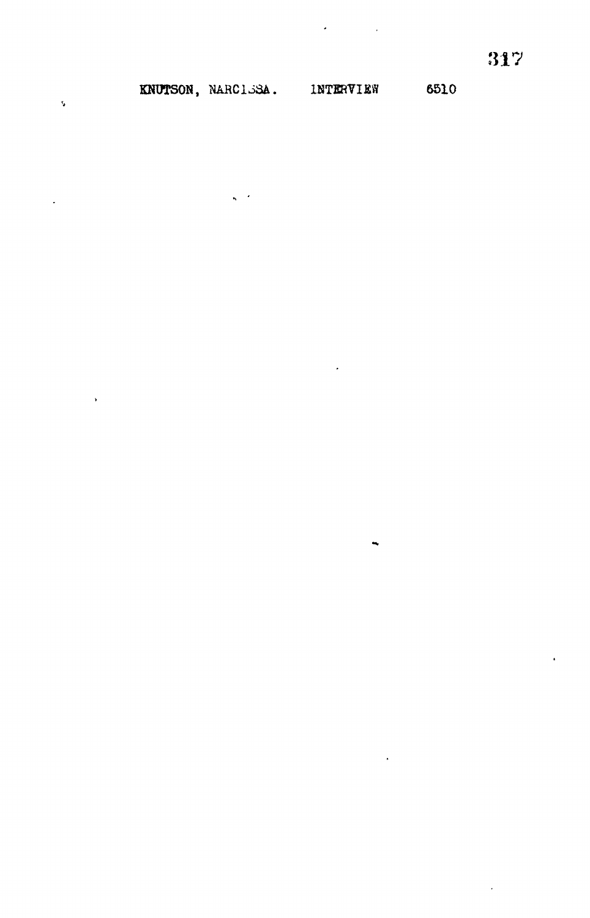**KNUTSON, NARC1J3A. INTERVIEW 6510**

 $\cdot$ 

 $\ddot{\phantom{a}}$ 

ł.

 $\ddot{\phantom{a}}$ 

 $\hat{\mathbf{v}}$ 

 $\ddot{\phantom{a}}$ 

 $\ddot{\phantom{1}}$ 

 $\ddot{\phantom{a}}$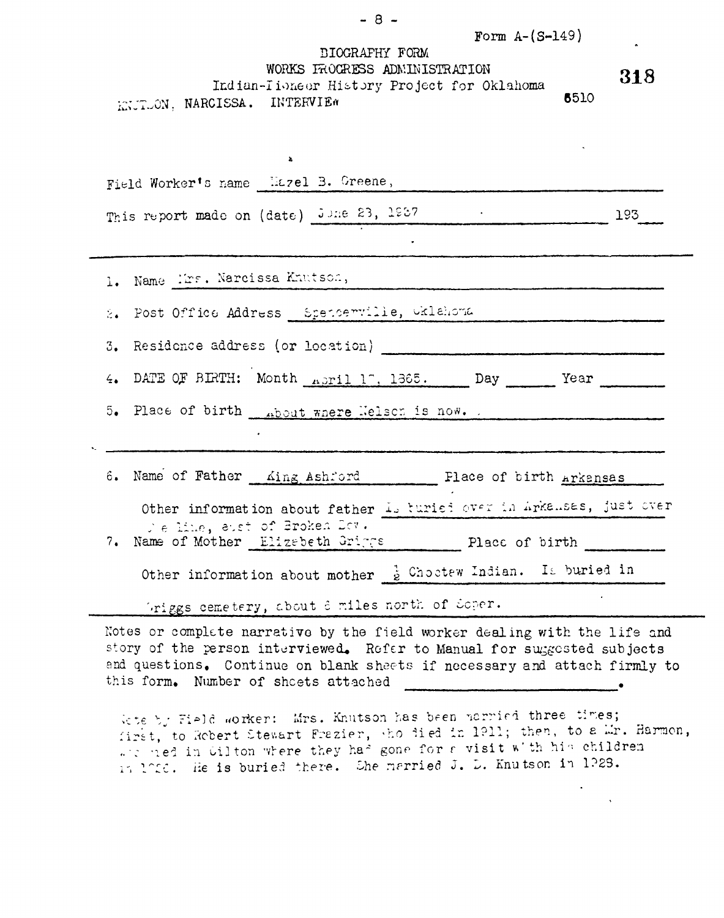| Form $A - (S - 149)$<br>DIOGRAFHY FORM<br>WORKS FROCRESS ADMINISTRATION<br>Indian-Tioneer History Project for Oklahoma<br>6510<br>KNUTUON, NARCISSA. INTERVIEW | 318 |
|----------------------------------------------------------------------------------------------------------------------------------------------------------------|-----|
| $\mathbf{z}_i$                                                                                                                                                 |     |
| Field Worker's name Hazel B. Greene,                                                                                                                           |     |
| This report made on (date) June 23, 1987 . 198.                                                                                                                |     |
|                                                                                                                                                                |     |
| 1. Name Mrs. Narcissa Knutson,                                                                                                                                 |     |
| 2. Post Office Address Spencerville, Gklahoma                                                                                                                  |     |
|                                                                                                                                                                |     |
| 4. DATE OF BIRTH: Month April 17, 1365. Day Year                                                                                                               |     |
| 5. Place of birth hout where Welsen is now.                                                                                                                    |     |
| 6. Name of Father King Ashford Flace of birth Arkansas                                                                                                         |     |
| Other information about father is turied over in Arkansas, just over<br>We line, east of Broken Day.                                                           |     |
| 7. Name of Mother Elizabeth Griggs Place of birth _______                                                                                                      |     |
| Other information about mother $\frac{1}{2}$ Choctew Indian. Is buried in                                                                                      |     |
| Griggs cemetery, about 8 miles north of Soper.                                                                                                                 |     |

k.

Notes or complete narrative by the field worker dealing with the life and story of the person interviewed. Refer to Manual for suggested subjects and questions. Continue on blank sheets if necessary and attach firmly to this form. Number of sheets attached , while the state of sheets attached

*k\*e \<sup>T</sup>* 7->]c uorker: Mrs. Kr.utson has been ncrrifi three tires; first, to Robert Stewart Frezier, who jied in 1911; then, to a Mr. Harmon, ...., conceers secures seems has gone for r visit with his children it 1010. He is buried there. She married J. D. Knutson in 1?23.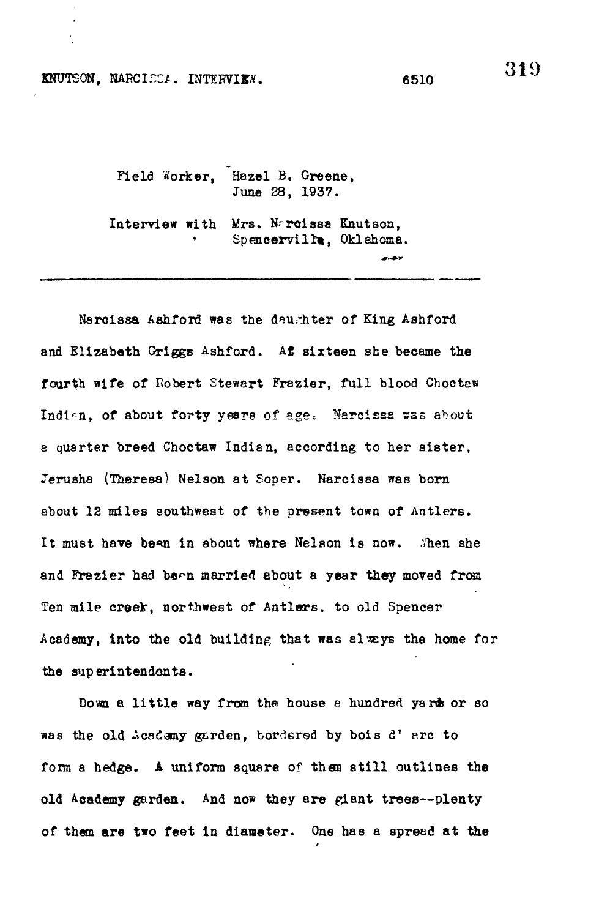## KNUTSON, NARCIECA. INTERVIEW. 6510

Field Worker, Hazel B. Greene, June 28, 1937.

Interview with Mrs. Naroissa Knutson, Spencerville, Oklahoma.

Narcissa Ashford was the deughter of King Ashford and Elizabeth Griggs Ashford. At sixteen she became the fourth wife of Robert Stewart Frazier, full blood Choctew Indian, of about forty years of age. Nercissa was about a quarter breed Choctaw Indian, according to her sister, Jerusha (Theresa) Nelson at Soper. Narcissa was born ebout 12 miles southwest of the present town of Antlers. It must have bean in about where Nelson is now. . Then she and Frazier had been married about a year they moved from Ten mile creek, northwest of Antlers, to old Spencer Academy, into the old building that was always the home for the superintendents.

Down a little way from the house a hundred yards or so was the old Acadamy garden, bordered by bois d'arc to form a hedge. A uniform square of them still outlines the old Academy garden. And now they are giant trees--plenty of them are two feet in diameter. One has a spread at the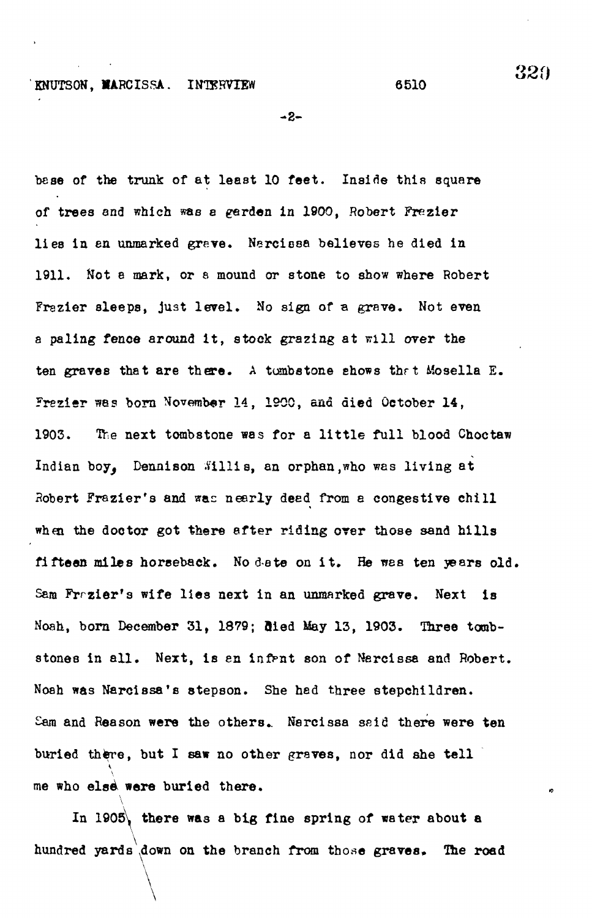$-2-$ 

base of the trunk of at least 10 feet. Inside this square of trees and which was a garden in 1900, Robert Frezier lies in en unmarked grave. Narcissa believes he died in 1911. Not a mark, or 8 mound or stone to show where Robert Frazier sleeps, just level. No sign of a grave. Not even a paling fence around it, stock grazing at will over the ten graves that are there . A tombstone shows thrt Mosella E. Frezier wes born November 14, 1900, and died October 14, 1903. The next tombstone was for a little full blood Choctaw Indian boy. Dennison .Willis, an orphan, who was living at Robert Frazier's and was nearly deed from a congestive chill when the doctor got there after riding over those sand hills fifteen miles horseback. No date on it. He was ten years old. Sam Francier's wife lies next in an unmarked grave. Next is Noah, born December 31, 1879; Bied May 13, 1903. Three tombstones in all. Next, is an infant son of Narcissa and Robert. Noah was Narcissa's stepson. She had three stepchildren. Sam and Reason were the others. Narcissa said there were ten buried there, but I saw no other graves, nor did she tell me who else were buried there.

In 1905, there was a big fine spring of water about a hundred yards down on the branch from those graves. The road

hundred yards .down on the branch from those graves,. The road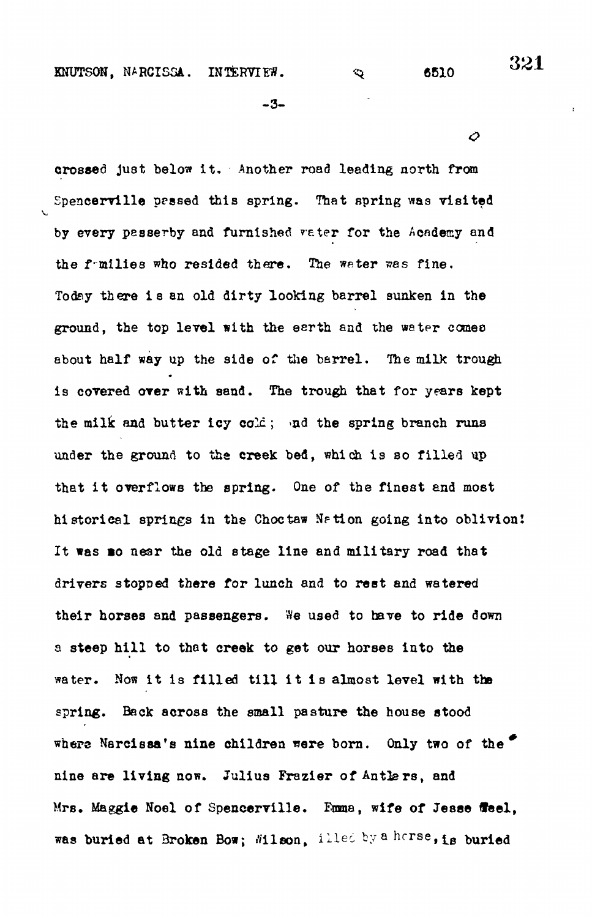KNUTSON, NARCISSA. INTERVIEW.  $\infty$  6510

-3-

aroseed Just below It. Another road leading north from Spencerville pessed this spring. That spring was visited by every passerby and furnished veter for the Academy and the f-milies who resided there. *The* water was fine. Today there i s an old dirty looking barrel sunken in the ground, the top level with the eerth and the water comes about half way up the side of the barrel. The milk trough is covered over with sand. The trough that for years kept the milk and butter icy  $colc$ ; ad the spring branch runs under the ground to the creek bed, which is so filled up that it overflows the spring. One of the finest and most historical springs in the Choctaw Nation going into oblivion! It was mo near the old stage line and military road that drivers stopped there for lunch and to rest and watered their horses and passengers. We used to have to ride down a steep hill to that creek to get our horses into the water. Now it is filled till it is almost level with the spring. Beck across the small pasture the house stood where Narcissa's nine children were born. Only two of the nine are living now. Julius Frazler of Antlers, and Mrs. Maggie Noel of Spencerville. Emma, wife of Jesse ffeel, was buried at Broken Bow; Wilson, illed by a harse, is buried

*O*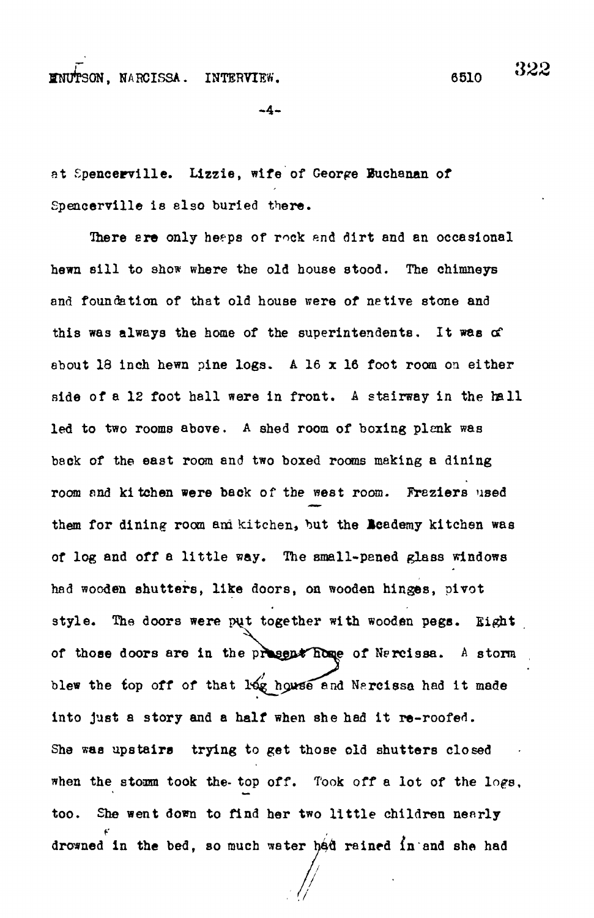ffNUTSON, NABCISSA. INTERVIEW. 6510

322

 $-4-$ 

at Spencerville. Lizzie, wife of George Euchanan of Spencervllle is elso buried there.

There are only heaps of rock and dirt and an occasional hewn sill to show where the old house stood. The chimneys and foundation of that old house were of netive stone and this was always the home of the superintendents. It was of about 18 inch hewn pine logs. A 16  $x$  16 foot room on either side of a 12 foot hall were in front. A stairway in the hall led to two rooms above. A shed room of boxing plenk was back of the east room and two boxed rooms making a dining room and kitchen were back of the west room. Freziers used them for dining room am kitchen, but the Beademy kitchen was of log and off a little way. The small-paned glass windows had wooden shutters, like doors, on wooden hinges, pivot style. The doors were put together with wooden pegs. Eight of those doors are in the present home of Nercissa. A storm blew the top off of that log house and Narcissa had it made into just a story and a half when she had it re-roofed. She was upstairs trying to get those old shutters closed when the stomm took the- top off. Took off a lot of the logs, too. She went down to find her two little children nearly drowned in the bed, so much water had rained in and she had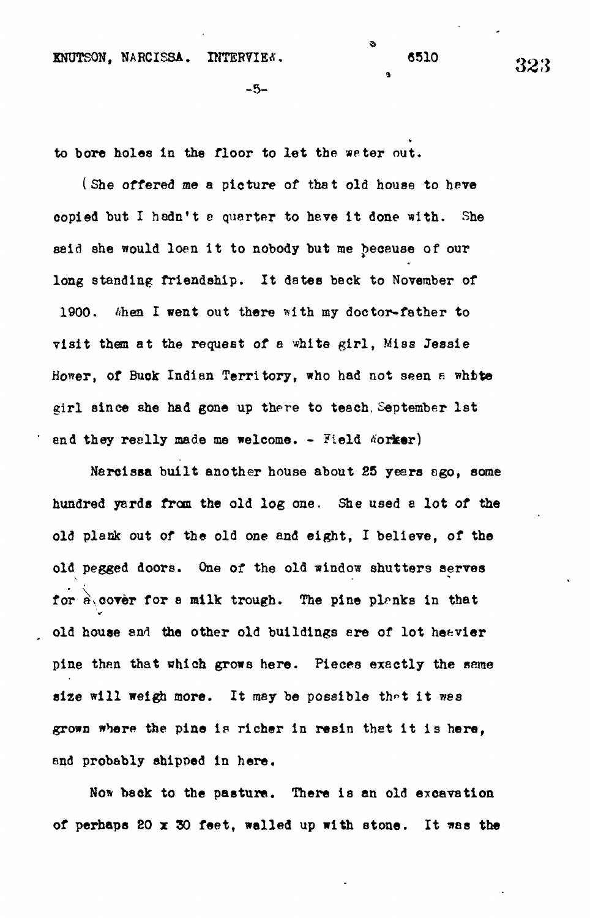å

**3>**

to bore holes in the floor to let the water out.

(She offered me a picture of that old house to heve copied but I hadn't a quarter to have it done with. She said she would loen it to nobody but me because of our long standing friendship. It dates beck to November of 1900. Ghen I went out there with my doctor-father to visit them at the request of a white girl, Miss Jessie Hower, of Buck Indian Territory, who had not seen a white girl since she had gone up there to teach, September 1st end they reelly made me welcome. - Field Aorker)

Narcissa built another house about 25 years ago, some hundred yards from the old log one. She used a lot of the old plank out of the old one and eight, I believe, of the old pegged doors. One of the old window shutters serves for  $\hat{\mathbf{r}}$ , cover for a milk trough. The pine planks in that old house and the other old buildings are of lot heavier pine then that which grows here. Pieces exactly the seme size will weigh more. It may be possible that it was grown where the pine is richer in resin that it is here, and probably shipped in here.

Now back to the pasture. There is an old excavation of perhaps 20 *x* 30 feet, walled up with stone. It was the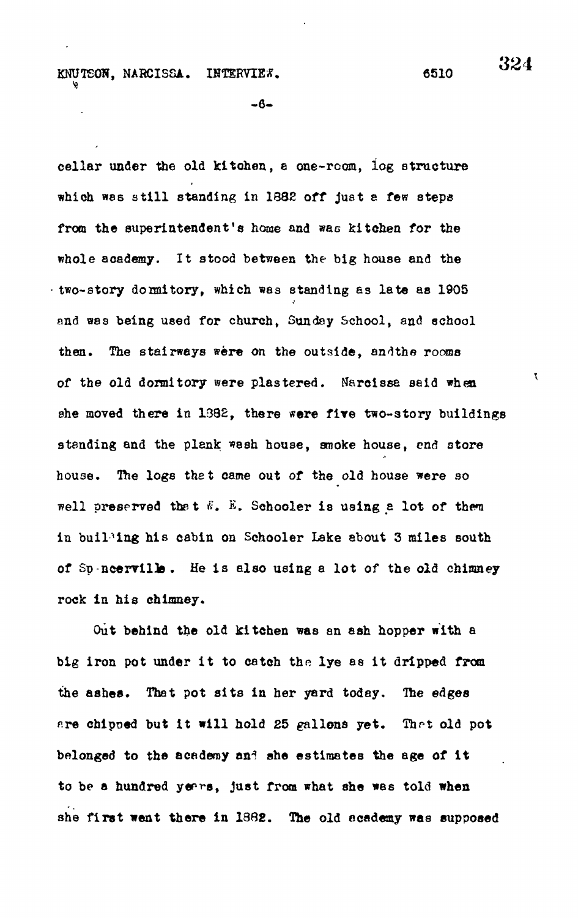## KNUTEON, NARCISSA. INTERVIEW. 6510

-6-

cellar under the old kitchen, a one-room, log structure which was still standing in 1882 off just a few steps from the superintendent's home and was kitchen for the whole academy. It stood between the big house and the  $-wo$ -story donmitory, which was standing as late as 1905 and was being used for church, Sunday School, and school then. The stairways were on the outside, andthe rooms of the old dormitory were plastered. Narcissa said when she moved there in 1382, there were five two-story buildings standing and the plank wash house, smoke house, end store house. The logs that came out of the old house were so well preserved that  $\ddot{\theta}$ . E. Schooler is using a lot of them in building his cabin on Schooler Lake about 3 miles south of Sp-ncerville. He is also using a lot of the old chimney rock in his chimney.

Out behind the old kitchen was an ash hopper with a big iron pot under it to catch the lye as it dripped from the aahes. That pot sits in her yard today. The edges are chipoed but it will hold 25 gallons yet. That old pot belonged to the academy and she estimates the age of it to be a hundred years, just from what she was told when she first went there in 1382. The old academy was supposed

324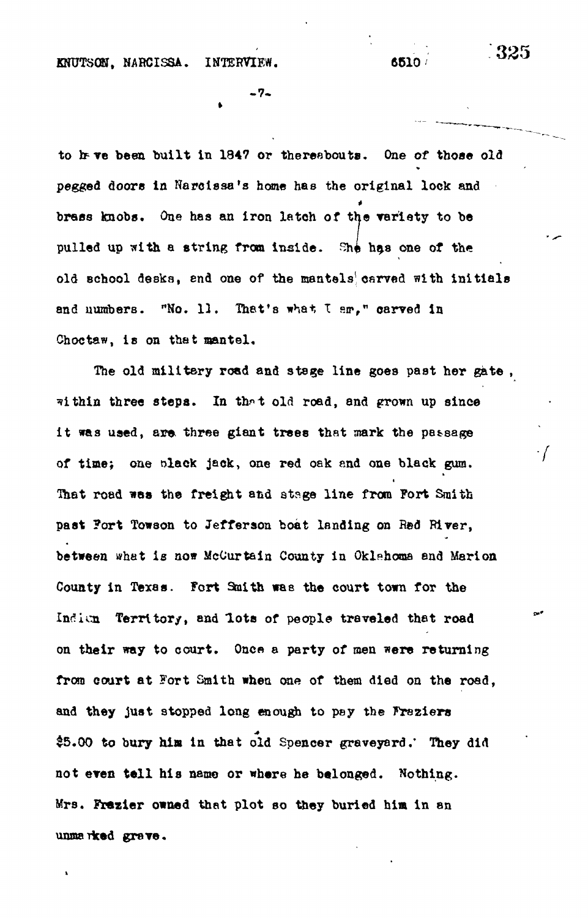**KNUTSON, NAHCISSA. INTERVIEW. 6510/**

**- 7 -**

to heve been built in 1847 or thereabouts. One of those old **pegged doors In Harclssa's home has the original lock and brass knobs. One has an iron latch of the variety to be** pulled up with a string from inside. She has one of the **old school desks, end one of the mantels<sup>1</sup> , carved with initials and uumbers. "No. 13. That's what, I sn»," carved in Choc taw, is on that mantel.**

**The old military road and stage line goes past her gate , within three stepa. In th^t old road, and grown up since i t was used, are. three giant trees that mark the passage of time; one slack jack, one red oak and one black gum. That road was the freight and stage line from Fort Smith past ?ort Towson to Jefferson boat landing on Red River, between what is now McCurtein County in Oklahoma and Marlon County in Texas. Fort 3aith was the court town for the Indicn Territory, and lots of people traveled that road on their way to court. Once a party of men were returning from court at Fort Smith when one of them died on the road, and they just stopped long enough to pey the Frs2iers \$5.00 to bury hia in that old Spencer graveyard.' They did not even tal l his nemo or where he belonged. Nothing. Mrs. Frailer owned that plot so they buried him in an unmarked grave.**

-325

 $\cdot f$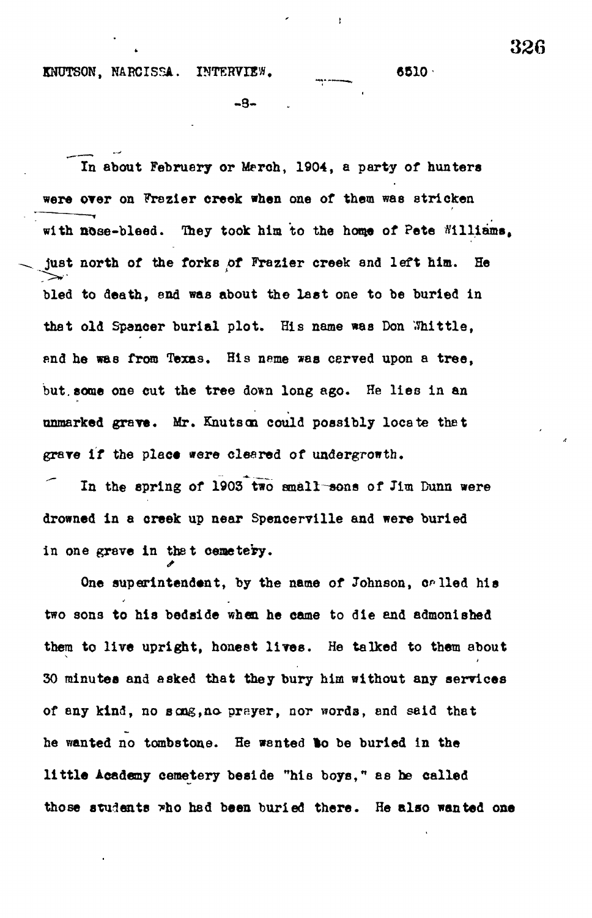KNUTSON, NARCISSA. INTERVIEW. (5510)

-9-

**In about February or Merch, 1904, a party of hunters were OTer on Frazier creek when one of them was stricken with nose-bleed. They took him to the honje of Pete Williams, just north of the forks** *Ot* **Frazier creek and left him. He bled to death, end was about the last one to be buried in** that old Spancer burial plot. His name was Don Whittle, **find he was from Texas. His neme \*as carved upon a tree,** but some one cut the tree down long ago. He lies in an **unmarked grave. Mr. Knutscn could possibly locate thet** grave if the place were cleared of undergrowth.

In the spring of 1903 two small-sons of Jim Dunn were **drowned in a creek up near Spencerville and were buried** in one grave in that cemetery.

One superintendent, by the name of Johnson, or lled his **two sons to his bedside when he came to die and admonished them to live upright, honest lives. He talked to them about 30 minutes and asked that they bury him without any services of any kind, no song,no prayer, nor words, and said that he wanted no tombstone. He wanted to be buried in the littl e Academy cemetery beside "his boys," as he called** those students who had been buried there. He also wanted one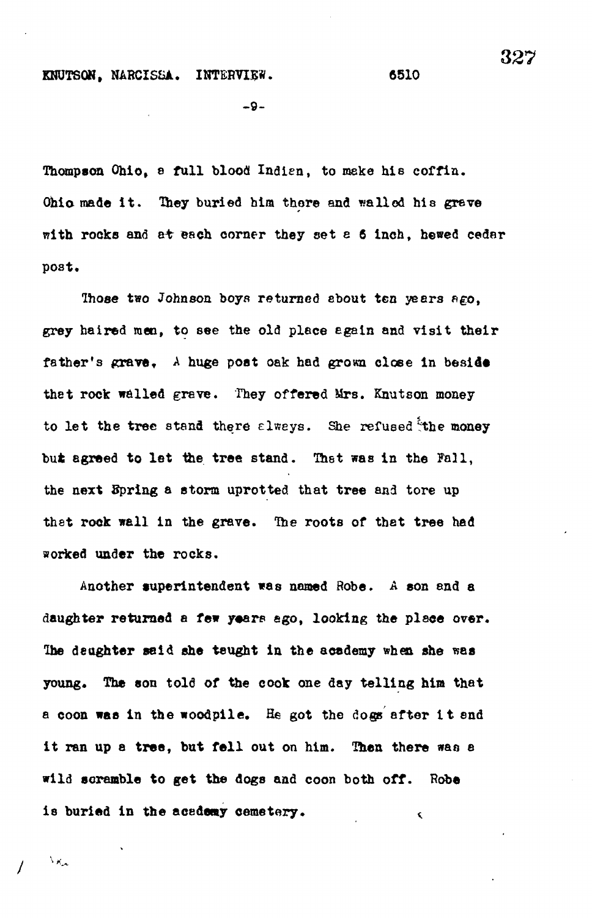## **KNUTSON, NARCISSA. INTERVIEW.** 6510

-9-

**Thompson Ohio, a full blood Inaien, to make hie coffin.** Ohio made it. They buried him there and walled his grave with rocks and at each corner they set a 6 inch, hewed cedar **post.**

**Ihose two Johnson boys returned about ten years ago, grey haired men, to see the old place egain and visit their** father's grave, A huge post oak had grown close in beside **thet rock walled grave. They offered Mrs. Knutson money** to let the tree stand there always. She refused the money but agreed to let the tree stand. That was in the Fall, **the next Spring a storm uprotted that tree and tore up thet rock well in the grave. Ihe roots of thet tree had worked under the rocks.**

**Another superintendent was named Robe. A son and a** daughter returned a few years ago, looking the place over. **Ihe daughter said she taught in the academy when she was young. The son told of the cook one day telling hint that a coon was in the woodpile. He got the dogs after i t snd it ran up a tree, but fell out on him. Then there was a wild scramble to get the dogs and coon both off. Robe** is buried in the academy cemetery.

 $\lambda_{K_{\rm{obs}}}$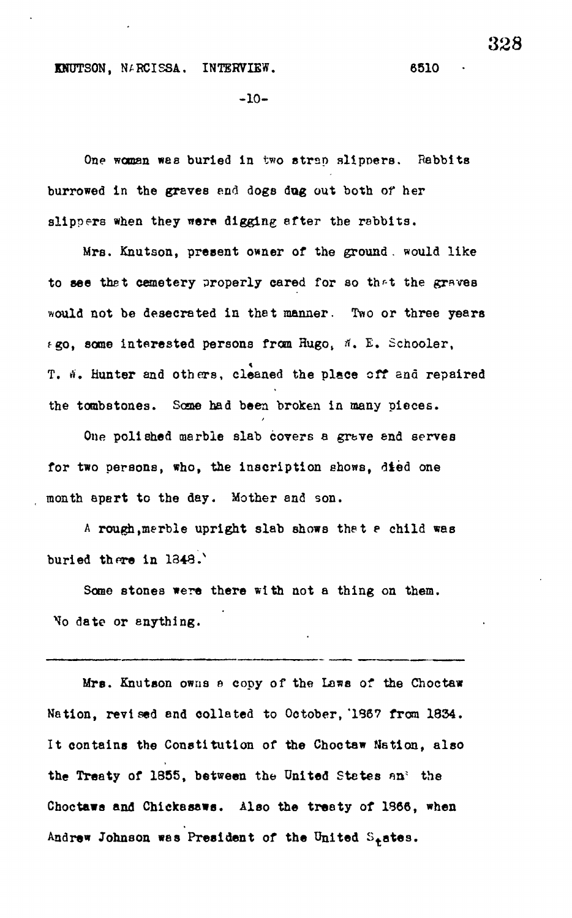KNUTSON, NARCISSA. INTERVIEW. 6510

-10-

One woman was buried in two strap slippers. Rabbits burrowed in the graves and dogs dug out both of her slippers when they were digging after the rabbits.

Mrs. Knutson, present owner of the ground . would like to see thet cemetery properly cared for so thr-t the graves would not be desecrated in that manner. Two or three years  $f$ go, some interested persons from Hugo,  $\#$ . E. Schooler, T. W. Hunter and others, cleaned the place off and repaired T. *a.* Hunter and others, cleaned the place off ana repaired the tombstones. Some had been broken in many pieces.

for two persons, who, the inscription shows, died one month apart to the day. Mother and son.

the tombstones. Some had been broken in many pieces.

A rough, merble upright slab shows that a child was  $\mathcal{A} = \mathcal{A} \cup \mathcal{A}$  , we child was the t e child was the t e child was the t e child was the t e child was the t e child was the t e child was the t e child was the t e child was the t e child was the t e child was th

Some stones were there with not a thing on them. Some stones were there with not a thing on them. No date or anything.

Mrs. Knutson owns a copy of the Laws of the Choctaw Nation, revised and collated to October, '1867 from 1834. It contains the Constitution of the Choctaw Nation, also the Treaty of 1855, between the United States an' the Choctaws and Chickasaws. Also the treaty of 1866, when Andrew Johnson was President of the United S<sub>t</sub>ates.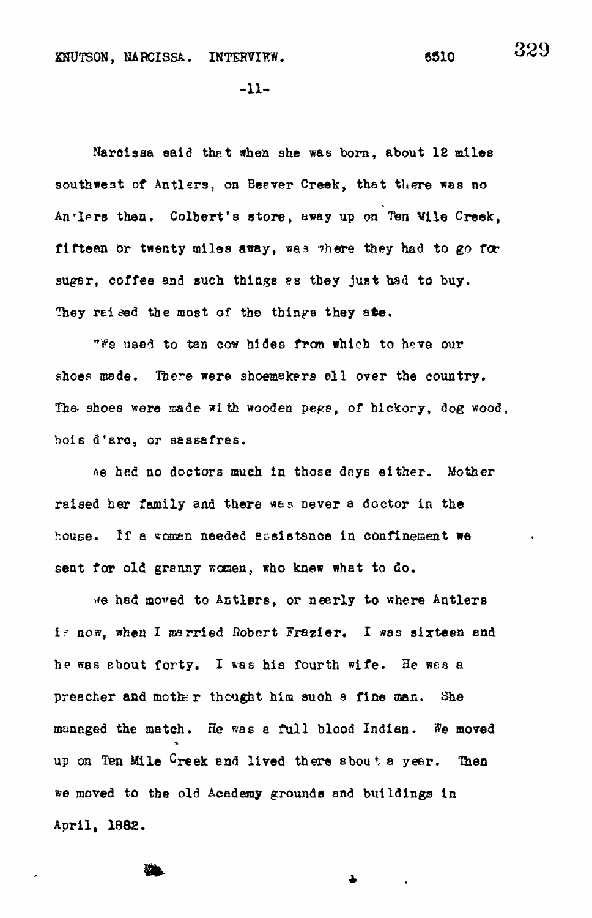329

 $-11-$ 

Narcissa said that when she was born, about 12 miles southwest of Antlers, on Beever Creek, that there was no An'lprs then. Colbert's store , away up *on Ten* Mile Creek, fifteen or twenty miles away, was there they had to go for sugar, coffee and such things as they just had to buy. They raised the most of the things they ate.

"We used to tan cow hides from which to heve our shoes made. There were shoemakers all over the country. The shoes were made with wooden pegs, of hickory, dog wood, bois d'arc, or sassafres.

»e hed no doctors much in those days either. Mother raised her family and there w&s never a doctor in the house. If a woman needed scsistsnce in confinement we sent for old granny women, who knew what to do.

>\*e had moved to Antlers, or nearly to where Antlers i-~ now, when I married Robert Frazier. I \*as sixteen *end.* he was ebout forty. I was his fourth wife. He wes a preacher and motte r thought him suoh s fine man. She managed the match. He was a full blood Indian. #e moved up on Ten Mile <sup>C</sup>reek and lived there sbout a year. Then we moved to the old Academy grounds and buildings in April, 1882.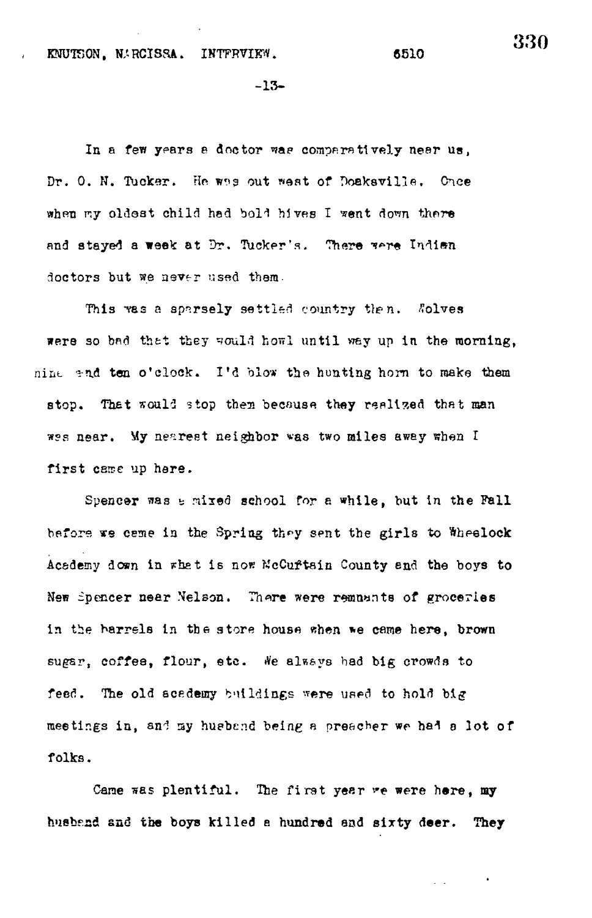KNUT50N, N.HCISSA. INTPRVIKW. 6510

-13-

In a few years a doctor was comparatively near us, Dr. O. N. Tucker. He was out west of Doaksville. Once when my oldest child had bold hives I went down there and stayed a week at Dr. Tucker's. There were Indian doctors but we never used them.

This was a sparsely settled country then. Solves were so bad that they would howl until way up in the morning, nine and ten o'clock. I'd blow the hunting horn to make them stop. That would stop them because they realized that man wes near. My nearest neighbor was two miles away when I first came up here.

Spencer was a mixed school for a while, but in the Fall before we ceme in the Spring they sent the girls to Wheelock Academy down in rhet is now KcCuftain County end the boys to New Spencer near Nelson. There were remuents of groceries in the barrels in the store house when we came here, brown sugar, coffee, flour, etc. We always had big crowds to feed. The old acedemy buildings were used to hold big meetings in, and my hueband being a preacher we had a lot of folks.

Cane was plentiful. The first year we were here, my husband and the boys killed a hundred and sixty deer. They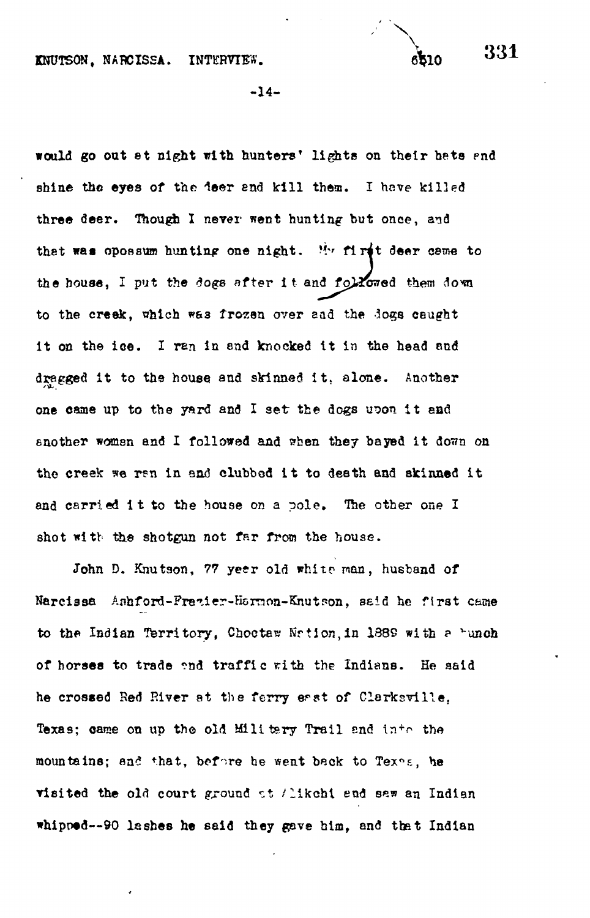**/ X**

**-14-**

would go out at night with hunters' lights on their hats and shine the eyes of the deer and kill them. I have killed three deer. Though I never went hunting but once, and that was opossum hunting one night. M^ firi t deer *ceme* to the house, I put the *dogs* after it and followed them down to the creek, nhich w&3 frozen over aad the *1O%Q* caught it on the ice. I ran in and knocked it in the head and dragged it to the house and skinned it, alone. Another one came up to the yard and I set the dogs upon it and another woman and I followed and when they bayed it down on the creek we ran in and clubbed it to death and skinned it and carried it to the house on a pole. The other one I shot with the shotgun not far from the house.

John D. Knutson, 77 yeer old white man, husband of Narcissa Aahford-Frezier-Harnon-Knutson, said he first came to the Indian Territory. Chootaw Nrtion, in 1389 with a bunch of borsea to trade ?nd traffi c rith the Indians. He aaid he crossed Red River at the ferry east of Clarksville. Texas; came on up the old Military Trail and into the mountains; and that, before he went back to Texos, he visited the old court ground at /likchi end sew an Indian whipped--90 lashes he said they gave him, and that Indian